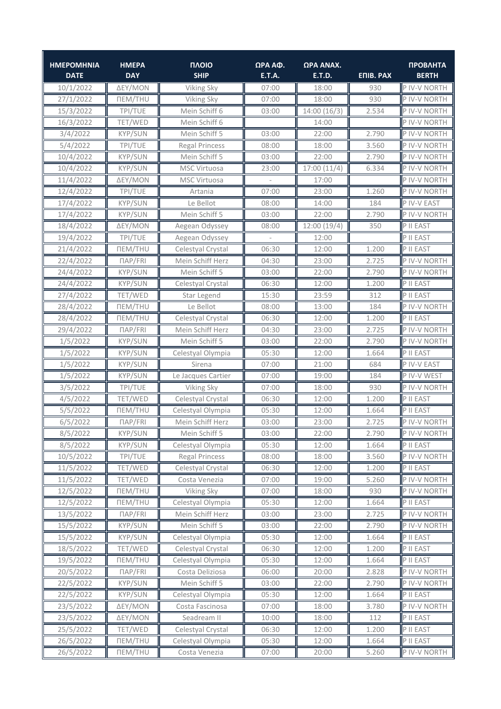| <b>HMEPOMHNIA</b><br><b>DATE</b> | <b>HMEPA</b><br><b>DAY</b> | <b><i><u>INOIO</u></i></b><br><b>SHIP</b> | ΩΡΑ ΑΦ.<br><b>E.T.A.</b> | ΩΡΑ ΑΝΑΧ.<br><b>E.T.D.</b> | <b>ENIB. PAX</b> | <b>ПРОВЛНТА</b><br><b>BERTH</b> |
|----------------------------------|----------------------------|-------------------------------------------|--------------------------|----------------------------|------------------|---------------------------------|
| 10/1/2022                        | ΔEY/MON                    | Viking Sky                                | 07:00                    | 18:00                      | 930              | P IV-V NORTH                    |
| 27/1/2022                        | <b>NEM/THU</b>             | Viking Sky                                | 07:00                    | 18:00                      | 930              | P IV-V NORTH                    |
| 15/3/2022                        | TPI/TUE                    | Mein Schiff 6                             | 03:00                    | 14:00 (16/3)               | 2.534            | P IV-V NORTH                    |
| 16/3/2022                        | TET/WED                    | Mein Schiff 6                             |                          | 14:00                      |                  | P IV-V NORTH                    |
| 3/4/2022                         | <b>KYP/SUN</b>             | Mein Schiff 5                             | 03:00                    | 22:00                      | 2.790            | P IV-V NORTH                    |
| 5/4/2022                         | TPI/TUE                    | <b>Regal Princess</b>                     | 08:00                    | 18:00                      | 3.560            | P IV-V NORTH                    |
| 10/4/2022                        | KYP/SUN                    | Mein Schiff 5                             | 03:00                    | 22:00                      | 2.790            | P IV-V NORTH                    |
| 10/4/2022                        | <b>KYP/SUN</b>             | <b>MSC Virtuosa</b>                       | 23:00                    | 17:00(11/4)                | 6.334            | P IV-V NORTH                    |
| 11/4/2022                        | ΔEY/MON                    | <b>MSC Virtuosa</b>                       |                          | 17:00                      |                  | P IV-V NORTH                    |
| 12/4/2022                        | TPI/TUE                    | Artania                                   | 07:00                    | 23:00                      | 1.260            | P IV-V NORTH                    |
| 17/4/2022                        | KYP/SUN                    | Le Bellot                                 | 08:00                    | 14:00                      | 184              | P IV-V EAST                     |
| 17/4/2022                        | KYP/SUN                    | Mein Schiff 5                             | 03:00                    | 22:00                      | 2.790            | P IV-V NORTH                    |
| 18/4/2022                        | ΔEY/MON                    | Aegean Odyssey                            | 08:00                    | 12:00(19/4)                | 350              | P II EAST                       |
| 19/4/2022                        | TPI/TUE                    | Aegean Odyssey                            |                          | 12:00                      |                  | P II EAST                       |
| 21/4/2022                        | <b>NEM/THU</b>             | Celestyal Crystal                         | 06:30                    | 12:00                      | 1.200            | P II EAST                       |
| 22/4/2022                        | $\Box AP/FRI$              | Mein Schiff Herz                          | 04:30                    | 23:00                      | 2.725            | P IV-V NORTH                    |
| 24/4/2022                        | <b>KYP/SUN</b>             | Mein Schiff 5                             | 03:00                    | 22:00                      | 2.790            | P IV-V NORTH                    |
| 24/4/2022                        | KYP/SUN                    | Celestyal Crystal                         | 06:30                    | 12:00                      | 1.200            | P II EAST                       |
| 27/4/2022                        | TET/WED                    | Star Legend                               | 15:30                    | 23:59                      | 312              | P II EAST                       |
| 28/4/2022                        | <b>NEM/THU</b>             | Le Bellot                                 | 08:00                    | 13:00                      | 184              | P IV-V NORTH                    |
| 28/4/2022                        | <b>NEM/THU</b>             | Celestyal Crystal                         | 06:30                    | 12:00                      | 1.200            | P II EAST                       |
| 29/4/2022                        | ПАР/FRI                    | Mein Schiff Herz                          | 04:30                    | 23:00                      | 2.725            | P IV-V NORTH                    |
| 1/5/2022                         | <b>KYP/SUN</b>             | Mein Schiff 5                             | 03:00                    | 22:00                      | 2.790            | P IV-V NORTH                    |
| 1/5/2022                         | <b>KYP/SUN</b>             | Celestyal Olympia                         | 05:30                    | 12:00                      | 1.664            | P II EAST                       |
| 1/5/2022                         | KYP/SUN                    | Sirena                                    | 07:00                    | 21:00                      | 684              | P IV-V EAST                     |
| 1/5/2022                         | <b>KYP/SUN</b>             | Le Jacques Cartier                        | 07:00                    | 19:00                      | 184              | P IV-V WEST                     |
| 3/5/2022                         | TPI/TUE                    | Viking Sky                                | 07:00                    | 18:00                      | 930              | P IV-V NORTH                    |
| 4/5/2022                         | TET/WED                    | Celestyal Crystal                         | 06:30                    | 12:00                      | 1.200            | P II EAST                       |
| 5/5/2022                         | <b>NEM/THU</b>             | Celestyal Olympia                         | 05:30                    | 12:00                      | 1.664            | P II EAST                       |
| 6/5/2022                         | $\Box AP/FRI$              | Mein Schiff Herz                          | 03:00                    | 23:00                      | 2.725            | P IV-V NORTH                    |
| 8/5/2022                         | KYP/SUN                    | Mein Schiff 5                             | 03:00                    | 22:00                      | 2.790            | P IV-V NORTH                    |
| 8/5/2022                         | KYP/SUN                    | Celestyal Olympia                         | 05:30                    | 12:00                      | 1.664            | P II EAST                       |
| 10/5/2022                        | TPI/TUE                    | <b>Regal Princess</b>                     | 08:00                    | 18:00                      | 3.560            | P IV-V NORTH                    |
| 11/5/2022                        | TET/WED                    | Celestyal Crystal                         | 06:30                    | 12:00                      | 1.200            | P II EAST                       |
| 11/5/2022                        | TET/WED                    | Costa Venezia                             | 07:00                    | 19:00                      | 5.260            | P IV-V NORTH                    |
| 12/5/2022                        | <b>NEM/THU</b>             | Viking Sky                                | 07:00                    | 18:00                      | 930              | P IV-V NORTH                    |
| 12/5/2022                        | <b>NEM/THU</b>             | Celestyal Olympia                         | 05:30                    | 12:00                      | 1.664            | P II EAST                       |
| 13/5/2022                        | <b>ΠΑΡ/FRI</b>             | Mein Schiff Herz                          | 03:00                    | 23:00                      | 2.725            | P IV-V NORTH                    |
| 15/5/2022                        | KYP/SUN                    | Mein Schiff 5                             | 03:00                    | 22:00                      | 2.790            | P IV-V NORTH                    |
| 15/5/2022                        | KYP/SUN                    | Celestyal Olympia                         | 05:30                    | 12:00                      | 1.664            | P II EAST                       |
| 18/5/2022                        | TET/WED                    | Celestyal Crystal                         | 06:30                    | 12:00                      | 1.200            | P II EAST                       |
| 19/5/2022                        | <b>NEM/THU</b>             | Celestyal Olympia                         | 05:30                    | 12:00                      | 1.664            | P II EAST                       |
| 20/5/2022                        | <b>ΠΑΡ/FRI</b>             | Costa Deliziosa                           | 06:00                    | 20:00                      | 2.828            | P IV-V NORTH                    |
| 22/5/2022                        | KYP/SUN                    | Mein Schiff 5                             | 03:00                    | 22:00                      | 2.790            | P IV-V NORTH                    |
| 22/5/2022                        | KYP/SUN                    | Celestyal Olympia                         | 05:30                    | 12:00                      | 1.664            | P II EAST                       |
| 23/5/2022                        | ΔEY/MON                    | Costa Fascinosa                           | 07:00                    | 18:00                      | 3.780            | P IV-V NORTH                    |
| 23/5/2022                        | ΔEY/MON                    | Seadream II                               | 10:00                    | 18:00                      | 112              | P II EAST                       |
| 25/5/2022                        | TET/WED                    | Celestyal Crystal                         | 06:30                    | 12:00                      | 1.200            | P II EAST                       |
| 26/5/2022                        | <b>NEM/THU</b>             | Celestyal Olympia                         | 05:30                    | 12:00                      | 1.664            | P II EAST                       |
| 26/5/2022                        | <b>NEM/THU</b>             | Costa Venezia                             | 07:00                    | 20:00                      | 5.260            | P IV-V NORTH                    |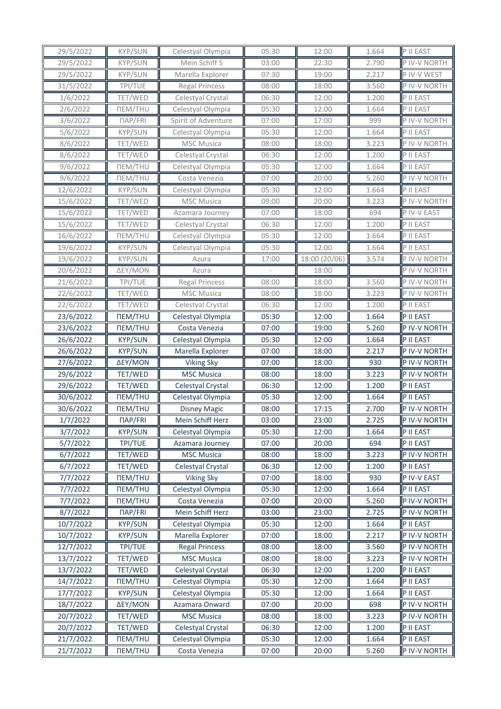| 29/5/2022 | KYP/SUN               | Celestyal Olympia     | 05:30 | 12:00         | 1.664 | P II EAST    |
|-----------|-----------------------|-----------------------|-------|---------------|-------|--------------|
| 29/5/2022 | KYP/SUN               | Mein Schiff 5         | 03:00 | 22:30         | 2.790 | P IV-V NORTH |
| 29/5/2022 | KYP/SUN               | Marella Explorer      | 07:30 | 19:00         | 2.217 | P IV-V WEST  |
| 31/5/2022 | TPI/TUE               | <b>Regal Princess</b> | 08:00 | 18:00         | 3.560 | P IV-V NORTH |
| 1/6/2022  | TET/WED               | Celestyal Crystal     | 06:30 | 12:00         | 1.200 | P II EAST    |
| 2/6/2022  | <b>NEM/THU</b>        | Celestyal Olympia     | 05:30 | 12:00         | 1.664 | P II EAST    |
| 3/6/2022  | $\Box AP/FRI$         | Spirit of Adventure   | 07:00 | 17:00         | 999   | P IV-V NORTH |
| 5/6/2022  | KYP/SUN               | Celestyal Olympia     | 05:30 | 12:00         | 1.664 | P II EAST    |
| 8/6/2022  | TET/WED               | MSC Musica            | 08:00 | 18:00         | 3.223 | P IV-V NORTH |
| 8/6/2022  | TET/WED               | Celestyal Crystal     | 06:30 | 12:00         | 1.200 | P II EAST    |
| 9/6/2022  | <b>NEM/THU</b>        | Celestyal Olympia     | 05:30 | 12:00         | 1.664 | P II EAST    |
| 9/6/2022  | <b>NEM/THU</b>        | Costa Venezia         | 07:00 | 20:00         | 5.260 | P IV-V NORTH |
| 12/6/2022 | KYP/SUN               | Celestyal Olympia     | 05:30 | 12:00         | 1.664 | P II EAST    |
| 15/6/2022 | TET/WED               | <b>MSC Musica</b>     | 09:00 | 20:00         | 3.223 | P IV-V NORTH |
| 15/6/2022 | TET/WED               | Azamara Journey       | 07:00 | 18:00         | 694   | P IV-V EAST  |
| 15/6/2022 | TET/WED               | Celestyal Crystal     | 06:30 | 12:00         | 1.200 | P II EAST    |
| 16/6/2022 | <b>NEM/THU</b>        | Celestyal Olympia     | 05:30 | 12:00         | 1.664 | P II EAST    |
| 19/6/2022 | KYP/SUN               | Celestyal Olympia     | 05:30 | 12:00         | 1.664 | P II EAST    |
| 19/6/2022 | <b>KYP/SUN</b>        | Azura                 | 17:00 | 18:00 (20/06) | 3.574 | P IV-V NORTH |
| 20/6/2022 | ΔEY/MON               | Azura                 |       | 18:00         |       | P IV-V NORTH |
| 21/6/2022 | TPI/TUE               | <b>Regal Princess</b> | 08:00 | 18:00         | 3.560 | P IV-V NORTH |
| 22/6/2022 | tet/wed               | <b>MSC Musica</b>     | 08:00 | 18:00         | 3.223 | P IV-V NORTH |
| 22/6/2022 | TET/WED               | Celestyal Crystal     | 06:30 | 12:00         | 1.200 | P II EAST    |
| 23/6/2022 | <b>NEM/THU</b>        | Celestyal Olympia     | 05:30 | 12:00         | 1.664 | P II EAST    |
| 23/6/2022 | <b>NEM/THU</b>        | Costa Venezia         | 07:00 | 19:00         | 5.260 | P IV-V NORTH |
| 26/6/2022 | <b>KYP/SUN</b>        | Celestyal Olympia     | 05:30 | 12:00         | 1.664 | P II EAST    |
| 26/6/2022 | <b>KYP/SUN</b>        | Marella Explorer      | 07:00 | 18:00         | 2.217 | P IV-V NORTH |
| 27/6/2022 | ΔEY/MON               | <b>Viking Sky</b>     | 07:00 | 18:00         | 930   | P IV-V NORTH |
| 29/6/2022 | TET/WED               | <b>MSC Musica</b>     | 08:00 | 18:00         | 3.223 | P IV-V NORTH |
| 29/6/2022 | TET/WED               | Celestyal Crystal     | 06:30 | 12:00         | 1.200 | P II EAST    |
| 30/6/2022 | <b>NEM/THU</b>        | Celestyal Olympia     | 05:30 | 12:00         | 1.664 | P II EAST    |
| 30/6/2022 | <b>NEM/THU</b>        | <b>Disney Magic</b>   | 08:00 | 17:15         | 2.700 | P IV-V NORTH |
| 1/7/2022  | <b>NAP/FRI</b>        | Mein Schiff Herz      | 03:00 | 23:00         | 2.725 | P IV-V NORTH |
| 3/7/2022  | <b>KYP/SUN</b>        | Celestyal Olympia     | 05:30 | 12:00         | 1.664 | P II EAST    |
| 5/7/2022  | TPI/TUE               | Azamara Journey       | 07:00 | 20:00         | 694   | P II EAST    |
| 6/7/2022  | TET/WED               | <b>MSC Musica</b>     | 08:00 | 18:00         | 3.223 | P IV-V NORTH |
| 6/7/2022  | TET/WED               | Celestyal Crystal     | 06:30 | 12:00         | 1.200 | P II EAST    |
| 7/7/2022  | <b><i>NEM/THU</i></b> | <b>Viking Sky</b>     | 07:00 | 18:00         | 930   | P IV-V EAST  |
| 7/7/2022  | <b><i>NEM/THU</i></b> | Celestyal Olympia     | 05:30 | 12:00         | 1.664 | P II EAST    |
| 7/7/2022  | <b><i>NEM/THU</i></b> | Costa Venezia         | 07:00 | 20:00         | 5.260 | P IV-V NORTH |
| 8/7/2022  | ПАР/FRI               | Mein Schiff Herz      | 03:00 | 23:00         | 2.725 | P IV-V NORTH |
| 10/7/2022 | <b>KYP/SUN</b>        | Celestyal Olympia     | 05:30 | 12:00         | 1.664 | P II EAST    |
| 10/7/2022 | <b>KYP/SUN</b>        | Marella Explorer      | 07:00 | 18:00         | 2.217 | P IV-V NORTH |
| 12/7/2022 | TPI/TUE               | <b>Regal Princess</b> | 08:00 | 18:00         | 3.560 | P IV-V NORTH |
| 13/7/2022 | TET/WED               | <b>MSC Musica</b>     | 08:00 | 18:00         | 3.223 | P IV-V NORTH |
| 13/7/2022 | TET/WED               | Celestyal Crystal     | 06:30 | 12:00         | 1.200 | P II EAST    |
| 14/7/2022 | <b><i>NEM/THU</i></b> | Celestyal Olympia     | 05:30 | 12:00         | 1.664 | P II EAST    |
| 17/7/2022 | <b>KYP/SUN</b>        | Celestyal Olympia     | 05:30 | 12:00         | 1.664 | P II EAST    |
| 18/7/2022 | ΔEY/MON               | Azamara Onward        | 07:00 | 20:00         | 698   | P IV-V NORTH |
| 20/7/2022 | TET/WED               | <b>MSC Musica</b>     | 08:00 | 18:00         | 3.223 | P IV-V NORTH |
| 20/7/2022 | TET/WED               | Celestyal Crystal     | 06:30 | 12:00         | 1.200 | P II EAST    |
| 21/7/2022 | <b>ΠΕΜ/ΤΗU</b>        | Celestyal Olympia     | 05:30 | 12:00         | 1.664 | P II EAST    |
| 21/7/2022 | <b><i>NEM/THU</i></b> | Costa Venezia         | 07:00 | 20:00         | 5.260 | P IV-V NORTH |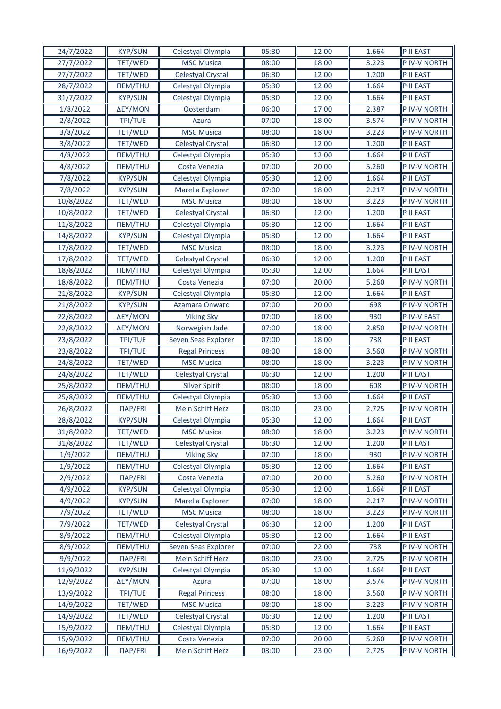| 24/7/2022              | <b>KYP/SUN</b>            | Celestyal Olympia                      | 05:30          | 12:00          | 1.664          | P II EAST                    |
|------------------------|---------------------------|----------------------------------------|----------------|----------------|----------------|------------------------------|
| 27/7/2022              | TET/WED                   | <b>MSC Musica</b>                      | 08:00          | 18:00          | 3.223          | P IV-V NORTH                 |
| 27/7/2022              | TET/WED                   | Celestyal Crystal                      | 06:30          | 12:00          | 1.200          | P II EAST                    |
| 28/7/2022              | <b>NEM/THU</b>            | Celestyal Olympia                      | 05:30          | 12:00          | 1.664          | P II EAST                    |
| 31/7/2022              | <b>KYP/SUN</b>            | Celestyal Olympia                      | 05:30          | 12:00          | 1.664          | P II EAST                    |
| 1/8/2022               | ΔEY/MON                   | Oosterdam                              | 06:00          | 17:00          | 2.387          | P IV-V NORTH                 |
| 2/8/2022               | <b>TPI/TUE</b>            | Azura                                  | 07:00          | 18:00          | 3.574          | P IV-V NORTH                 |
| 3/8/2022               | <b>TET/WED</b>            | <b>MSC Musica</b>                      | 08:00          | 18:00          | 3.223          | P IV-V NORTH                 |
| 3/8/2022               | TET/WED                   | Celestyal Crystal                      | 06:30          | 12:00          | 1.200          | P II EAST                    |
| 4/8/2022               | <b><i>NEM/THU</i></b>     | Celestyal Olympia                      | 05:30          | 12:00          | 1.664          | P II EAST                    |
| 4/8/2022               | <b>NEM/THU</b>            | Costa Venezia                          | 07:00          | 20:00          | 5.260          | P IV-V NORTH                 |
| 7/8/2022               | <b>KYP/SUN</b>            | Celestyal Olympia                      | 05:30          | 12:00          | 1.664          | P II EAST                    |
| 7/8/2022               | <b>KYP/SUN</b>            | Marella Explorer                       | 07:00          | 18:00          | 2.217          | P IV-V NORTH                 |
| 10/8/2022              | TET/WED                   | <b>MSC Musica</b>                      | 08:00          | 18:00          | 3.223          | P IV-V NORTH                 |
| 10/8/2022              | TET/WED                   | Celestyal Crystal                      | 06:30          | 12:00          | 1.200          | P II EAST                    |
| 11/8/2022              | <b><i>NEM/THU</i></b>     | Celestyal Olympia                      | 05:30          | 12:00          | 1.664          | P II EAST                    |
| 14/8/2022              | <b>KYP/SUN</b>            | Celestyal Olympia                      | 05:30          | 12:00          | 1.664          | P II EAST                    |
| 17/8/2022              | TET/WED                   | <b>MSC Musica</b>                      | 08:00          | 18:00          | 3.223          | P IV-V NORTH                 |
| 17/8/2022              | TET/WED                   | Celestyal Crystal                      | 06:30          | 12:00          | 1.200          | P II EAST                    |
| 18/8/2022              | <b>NEM/THU</b>            | Celestyal Olympia                      | 05:30          | 12:00          | 1.664          | P II EAST                    |
| 18/8/2022              | <b>NEM/THU</b>            | Costa Venezia                          | 07:00          | 20:00          | 5.260          | P IV-V NORTH                 |
| 21/8/2022              | <b>KYP/SUN</b>            | Celestyal Olympia                      | 05:30          | 12:00          | 1.664          | P II EAST                    |
| 21/8/2022              | <b>KYP/SUN</b>            | Azamara Onward                         | 07:00          | 20:00          | 698            | P IV-V NORTH                 |
| 22/8/2022              | ΔEY/MON                   | <b>Viking Sky</b>                      | 07:00          | 18:00          | 930            | P IV-V EAST                  |
| 22/8/2022              | ΔEY/MON                   | Norwegian Jade                         | 07:00          | 18:00          | 2.850          | P IV-V NORTH                 |
| 23/8/2022              | TPI/TUE                   | Seven Seas Explorer                    | 07:00          | 18:00          | 738            | P II EAST                    |
| 23/8/2022              | <b>TPI/TUE</b>            | <b>Regal Princess</b>                  | 08:00          | 18:00          | 3.560          | P IV-V NORTH                 |
| 24/8/2022              | TET/WED                   | <b>MSC Musica</b>                      | 08:00          | 18:00          | 3.223          | P IV-V NORTH                 |
| 24/8/2022              | TET/WED                   | Celestyal Crystal                      | 06:30          | 12:00          | 1.200          | P II EAST                    |
| 25/8/2022              | <b><i>NEM/THU</i></b>     | Silver Spirit                          | 08:00          | 18:00          | 608            | P IV-V NORTH                 |
| 25/8/2022              | <b>NEM/THU</b>            | Celestyal Olympia                      | 05:30          | 12:00          | 1.664          | P II EAST                    |
| 26/8/2022              | <b>NAP/FRI</b>            | Mein Schiff Herz                       | 03:00          | 23:00          | 2.725          | P IV-V NORTH                 |
| 28/8/2022              | <b>KYP/SUN</b>            | Celestyal Olympia                      | 05:30          | 12:00          | 1.664          | P II EAST                    |
| 31/8/2022              | TET/WED                   | <b>MSC Musica</b>                      | 08:00          | 18:00          | 3.223          | P IV-V NORTH                 |
| 31/8/2022              | TET/WED                   | Celestyal Crystal                      | 06:30          | 12:00          | 1.200          | P II EAST                    |
| 1/9/2022               | <b><i>NEM/THU</i></b>     | <b>Viking Sky</b>                      | 07:00          | 18:00          | 930            | P IV-V NORTH                 |
| 1/9/2022               | <b><i>NEM/THU</i></b>     | Celestyal Olympia                      | 05:30          | 12:00          | 1.664          | P II EAST                    |
| 2/9/2022               | ПАР/FRI                   | Costa Venezia                          | 07:00          | 20:00          | 5.260          | P IV-V NORTH                 |
|                        | <b>KYP/SUN</b>            |                                        | 05:30          |                |                |                              |
| 4/9/2022<br>4/9/2022   | <b>KYP/SUN</b>            | Celestyal Olympia<br>Marella Explorer  | 07:00          | 12:00<br>18:00 | 1.664<br>2.217 | P II EAST<br>P IV-V NORTH    |
| 7/9/2022               | TET/WED                   | <b>MSC Musica</b>                      | 08:00          | 18:00          | 3.223          | P IV-V NORTH                 |
| 7/9/2022               | TET/WED                   | Celestyal Crystal                      | 06:30          | 12:00          | 1.200          | P II EAST                    |
| 8/9/2022               | <b>NEM/THU</b>            | Celestyal Olympia                      | 05:30          | 12:00          | 1.664          | P II EAST                    |
| 8/9/2022               | <b><i>NEM/THU</i></b>     | Seven Seas Explorer                    | 07:00          | 22:00          | 738            | P IV-V NORTH                 |
|                        |                           |                                        |                |                |                |                              |
| 9/9/2022<br>11/9/2022  | ПАР/FRI<br><b>KYP/SUN</b> | Mein Schiff Herz                       | 03:00<br>05:30 | 23:00<br>12:00 | 2.725          | P IV-V NORTH<br>P II EAST    |
|                        |                           | Celestyal Olympia                      |                |                | 1.664          |                              |
| 12/9/2022<br>13/9/2022 | ΔEY/MON<br>TPI/TUE        | Azura<br><b>Regal Princess</b>         | 07:00<br>08:00 | 18:00<br>18:00 | 3.574<br>3.560 | P IV-V NORTH<br>P IV-V NORTH |
|                        |                           |                                        |                |                |                | P IV-V NORTH                 |
| 14/9/2022<br>14/9/2022 | TET/WED<br>TET/WED        | <b>MSC Musica</b><br>Celestyal Crystal | 08:00<br>06:30 | 18:00<br>12:00 | 3.223<br>1.200 | P II EAST                    |
| 15/9/2022              | <b><i>NEM/THU</i></b>     | Celestyal Olympia                      | 05:30          | 12:00          | 1.664          | P II EAST                    |
| 15/9/2022              | <b><i>NEM/THU</i></b>     | Costa Venezia                          | 07:00          |                | 5.260          | P IV-V NORTH                 |
|                        |                           |                                        |                | 20:00          |                |                              |
| 16/9/2022              | ПАР/FRI                   | Mein Schiff Herz                       | 03:00          | 23:00          | 2.725          | P IV-V NORTH                 |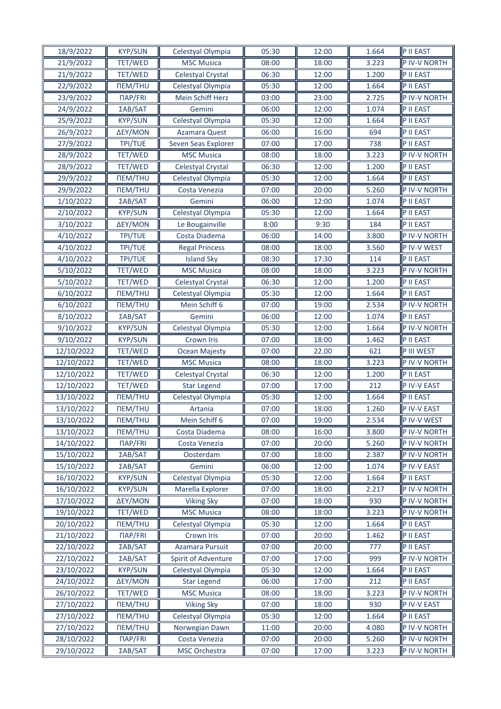| 18/9/2022  | <b>KYP/SUN</b>        | Celestyal Olympia     | 05:30 | 12:00 | 1.664 | P II EAST    |
|------------|-----------------------|-----------------------|-------|-------|-------|--------------|
| 21/9/2022  | TET/WED               | <b>MSC Musica</b>     | 08:00 | 18:00 | 3.223 | P IV-V NORTH |
| 21/9/2022  | TET/WED               | Celestyal Crystal     | 06:30 | 12:00 | 1.200 | P II EAST    |
| 22/9/2022  | <b>NEM/THU</b>        | Celestyal Olympia     | 05:30 | 12:00 | 1.664 | P II EAST    |
| 23/9/2022  | <b>ПАР/FRI</b>        | Mein Schiff Herz      | 03:00 | 23:00 | 2.725 | P IV-V NORTH |
| 24/9/2022  | ΣAB/SAT               | Gemini                | 06:00 | 12:00 | 1.074 | P II EAST    |
| 25/9/2022  | <b>KYP/SUN</b>        | Celestyal Olympia     | 05:30 | 12:00 | 1.664 | P II EAST    |
| 26/9/2022  | ΔEY/MON               | Azamara Quest         | 06:00 | 16:00 | 694   | P II EAST    |
| 27/9/2022  | TPI/TUE               | Seven Seas Explorer   | 07:00 | 17:00 | 738   | P II EAST    |
| 28/9/2022  | TET/WED               | <b>MSC Musica</b>     | 08:00 | 18:00 | 3.223 | P IV-V NORTH |
| 28/9/2022  | TET/WED               | Celestyal Crystal     | 06:30 | 12:00 | 1.200 | P II EAST    |
| 29/9/2022  | <b><i>NEM/THU</i></b> | Celestyal Olympia     | 05:30 | 12:00 | 1.664 | P II EAST    |
| 29/9/2022  | <b><i>NEM/THU</i></b> | Costa Venezia         | 07:00 | 20:00 | 5.260 | P IV-V NORTH |
| 1/10/2022  | ΣAB/SAT               | Gemini                | 06:00 | 12:00 | 1.074 | P II EAST    |
| 2/10/2022  | <b>KYP/SUN</b>        | Celestyal Olympia     | 05:30 | 12:00 | 1.664 | P II EAST    |
| 3/10/2022  | ΔΕΥ/ΜΟΝ               | Le Bougainville       | 8:00  | 9:30  | 184   | P II EAST    |
| 4/10/2022  | <b>TPI/TUE</b>        | Costa Diadema         | 06:00 | 14:00 | 3.800 | P IV-V NORTH |
| 4/10/2022  | TPI/TUE               | <b>Regal Princess</b> | 08:00 | 18:00 | 3.560 | P IV-V WEST  |
| 4/10/2022  | TPI/TUE               | <b>Island Sky</b>     | 08:30 | 17:30 | 114   | P II EAST    |
| 5/10/2022  | TET/WED               | <b>MSC Musica</b>     | 08:00 | 18:00 | 3.223 | P IV-V NORTH |
| 5/10/2022  | TET/WED               | Celestyal Crystal     | 06:30 | 12:00 | 1.200 | P II EAST    |
| 6/10/2022  | <b>NEM/THU</b>        | Celestyal Olympia     | 05:30 | 12:00 | 1.664 | P II EAST    |
| 6/10/2022  | <b><i>NEM/THU</i></b> | Mein Schiff 6         | 07:00 | 19:00 | 2.534 | P IV-V NORTH |
| 8/10/2022  | ΣAB/SAT               | Gemini                | 06:00 | 12:00 | 1.074 | P II EAST    |
| 9/10/2022  | <b>KYP/SUN</b>        | Celestyal Olympia     | 05:30 | 12:00 | 1.664 | P IV-V NORTH |
| 9/10/2022  | <b>KYP/SUN</b>        | Crown Iris            | 07:00 | 18:00 | 1.462 | P II EAST    |
| 12/10/2022 | TET/WED               | Ocean Majesty         | 07:00 | 22.00 | 621   | P III WEST   |
| 12/10/2022 | TET/WED               | <b>MSC Musica</b>     | 08:00 | 18:00 | 3.223 | P IV-V NORTH |
| 12/10/2022 | TET/WED               | Celestyal Crystal     | 06:30 | 12:00 | 1.200 | P II EAST    |
| 12/10/2022 | TET/WED               | <b>Star Legend</b>    | 07:00 | 17:00 | 212   | P IV-V EAST  |
| 13/10/2022 | <b><i>NEM/THU</i></b> | Celestyal Olympia     | 05:30 | 12:00 | 1.664 | P II EAST    |
| 13/10/2022 | <b><i>NEM/THU</i></b> | Artania               | 07:00 | 18:00 | 1.260 | P IV-V EAST  |
| 13/10/2022 | <b>ΠΕΜ/ΤΗU</b>        | Mein Schiff 6         | 07:00 | 19:00 | 2.534 | P IV-V WEST  |
| 13/10/2022 | <b><i>NEM/THU</i></b> | Costa Diadema         | 08:00 | 16:00 | 3.800 | P IV-V NORTH |
| 14/10/2022 | ПАР/FRI               | Costa Venezia         | 07:00 | 20:00 | 5.260 | P IV-V NORTH |
| 15/10/2022 | ΣAB/SAT               | Oosterdam             | 07:00 | 18:00 | 2.387 | P IV-V NORTH |
| 15/10/2022 | ΣAB/SAT               | Gemini                | 06:00 | 12:00 | 1.074 | P IV-V EAST  |
| 16/10/2022 | <b>KYP/SUN</b>        | Celestyal Olympia     | 05:30 | 12:00 | 1.664 | P II EAST    |
| 16/10/2022 | <b>KYP/SUN</b>        | Marella Explorer      | 07:00 | 18:00 | 2.217 | P IV-V NORTH |
| 17/10/2022 | ΔEY/MON               | Viking Sky            | 07:00 | 18:00 | 930   | P IV-V NORTH |
| 19/10/2022 | TET/WED               | <b>MSC Musica</b>     | 08:00 | 18:00 | 3.223 | P IV-V NORTH |
| 20/10/2022 | <b><i>NEM/THU</i></b> | Celestyal Olympia     | 05:30 | 12:00 | 1.664 | P II EAST    |
| 21/10/2022 | ПАР/FRI               | Crown Iris            | 07:00 | 20:00 | 1.462 | P II EAST    |
| 22/10/2022 | ΣAB/SAT               | Azamara Pursuit       | 07:00 | 20:00 | 777   | P II EAST    |
| 22/10/2022 | ΣAB/SAT               | Spirit of Adventure   | 07:00 | 17:00 | 999   | P IV-V NORTH |
| 23/10/2022 | <b>KYP/SUN</b>        | Celestyal Olympia     | 05:30 | 12:00 | 1.664 | P II EAST    |
| 24/10/2022 | ΔEY/MON               | Star Legend           | 06:00 | 17:00 | 212   | P II EAST    |
| 26/10/2022 | TET/WED               | <b>MSC</b> Musica     | 08:00 | 18:00 | 3.223 | P IV-V NORTH |
| 27/10/2022 | <b><i>NEM/THU</i></b> | <b>Viking Sky</b>     | 07:00 | 18:00 | 930   | P IV-V EAST  |
| 27/10/2022 | <b>ΠΕΜ/ΤΗU</b>        | Celestyal Olympia     | 05:30 | 12:00 | 1.664 | P II EAST    |
| 27/10/2022 | <b><i>NEM/THU</i></b> | Norwegian Dawn        | 11:00 | 20:00 | 4.080 | P IV-V NORTH |
| 28/10/2022 | ПАР/FRI               | Costa Venezia         | 07:00 | 20:00 | 5.260 | P IV-V NORTH |
| 29/10/2022 | ΣAB/SAT               | <b>MSC Orchestra</b>  | 07:00 | 17:00 | 3.223 | P IV-V NORTH |